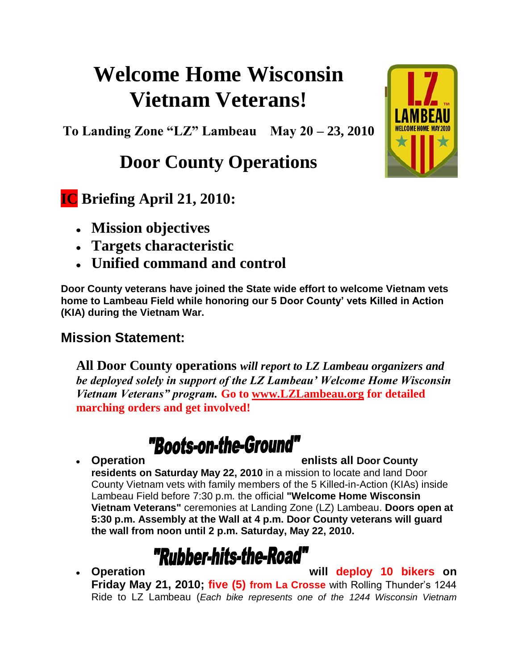# **Welcome Home Wisconsin Vietnam Veterans!**

**To Landing Zone "LZ" Lambeau May 20 – 23, 2010**

# **Door County Operations**

## **IC Briefing April 21, 2010:**

- **Mission objectives**
- **Targets characteristic**
- **Unified command and control**

**Door County veterans have joined the State wide effort to welcome Vietnam vets home to Lambeau Field while honoring our 5 Door County' vets Killed in Action (KIA) during the Vietnam War.**

### **Mission Statement:**

**All Door County operations** *will report to LZ Lambeau organizers and be deployed solely in support of the LZ Lambeau' Welcome Home Wisconsin Vietnam Veterans" program.* **Go to [www.LZLambeau.org](http://www.lzlambeau.org/) for detailed marching orders and get involved!**

# "Boots-on-the-Ground"

#### **Operation enlists all Door County**

**residents on Saturday May 22, 2010** in a mission to locate and land Door County Vietnam vets with family members of the 5 Killed-in-Action (KIAs) inside Lambeau Field before 7:30 p.m. the official **"Welcome Home Wisconsin Vietnam Veterans"** ceremonies at Landing Zone (LZ) Lambeau. **Doors open at 5:30 p.m. Assembly at the Wall at 4 p.m. Door County veterans will guard the wall from noon until 2 p.m. Saturday, May 22, 2010.**

# "Rubber-hits-the-Road"

**Operation will deploy 10 bikers on** 

**Friday May 21, 2010; five (5) from La Crosse** with Rolling Thunder's 1244 Ride to LZ Lambeau (*Each bike represents one of the 1244 Wisconsin Vietnam* 

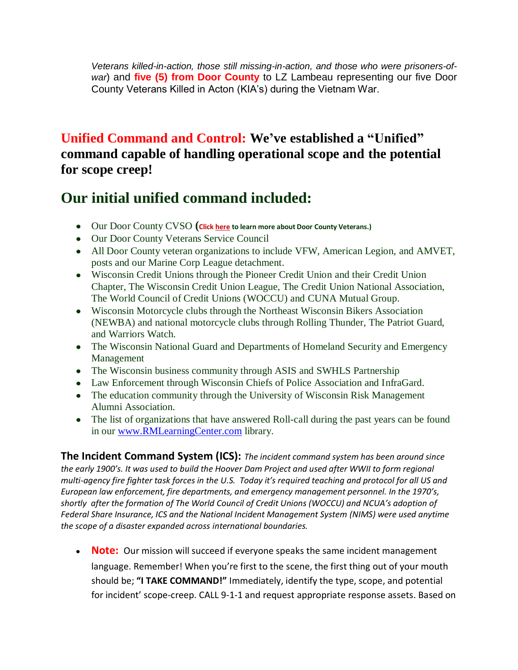*Veterans killed-in-action, those still missing-in-action, and those who were prisoners-ofwar*) and **five (5) from Door County** to LZ Lambeau representing our five Door County Veterans Killed in Acton (KIA's) during the Vietnam War.

### **Unified Command and Control: We've established a "Unified" command capable of handling operational scope and the potential for scope creep!**

## **Our initial unified command included:**

- Our Door County CVSO **(Clic[k here](http://www.wicvso.org/) to learn more about Door County Veterans.)**
- Our Door County Veterans Service Council
- All Door County veteran organizations to include VFW, American Legion, and AMVET, posts and our Marine Corp League detachment.
- Wisconsin Credit Unions through the Pioneer Credit Union and their Credit Union Chapter, The Wisconsin Credit Union League, The Credit Union National Association, The World Council of Credit Unions (WOCCU) and CUNA Mutual Group.
- Wisconsin Motorcycle clubs through the Northeast Wisconsin Bikers Association (NEWBA) and national motorcycle clubs through Rolling Thunder, The Patriot Guard, and Warriors Watch.
- The Wisconsin National Guard and Departments of Homeland Security and Emergency Management
- The Wisconsin business community through ASIS and SWHLS Partnership
- Law Enforcement through Wisconsin Chiefs of Police Association and InfraGard.
- The education community through the University of Wisconsin Risk Management Alumni Association.
- The list of organizations that have answered Roll-call during the past years can be found in our [www.RMLearningCenter.com](http://www.rmlearningcenter.com/) library.

**The Incident Command System (ICS):** *The incident command system has been around since the early 1900's. It was used to build the Hoover Dam Project and used after WWII to form regional multi-agency fire fighter task forces in the U.S. Today it's required teaching and protocol for all US and European law enforcement, fire departments, and emergency management personnel. In the 1970's, shortly after the formation of The World Council of Credit Unions (WOCCU) and NCUA's adoption of Federal Share Insurance, ICS and the National Incident Management System (NIMS) were used anytime the scope of a disaster expanded across international boundaries.* 

**Note:** Our mission will succeed if everyone speaks the same incident management language. Remember! When you're first to the scene, the first thing out of your mouth should be; **"I TAKE COMMAND!"** Immediately, identify the type, scope, and potential for incident' scope-creep. CALL 9-1-1 and request appropriate response assets. Based on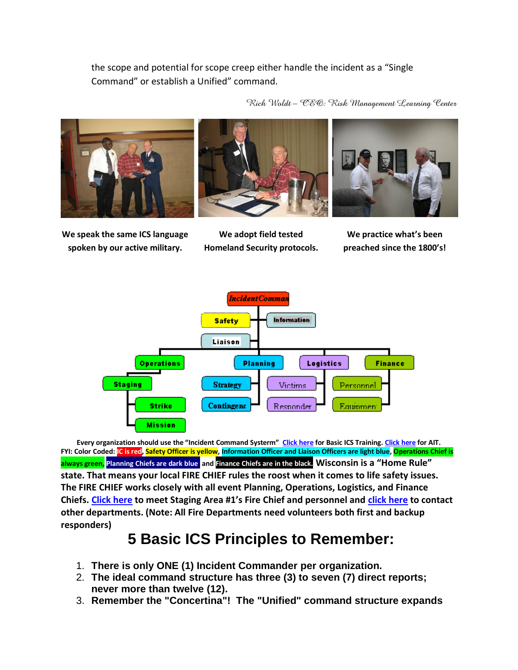the scope and potential for scope creep either handle the incident as a "Single Command" or establish a Unified" command.

*Rich Woldt – CEO: Risk Management Learning Center*







**We speak the same ICS language spoken by our active military.**

**We adopt field tested Homeland Security protocols.**

**We practice what's been preached since the 1800's!**



**Every organization should use the "Incident Command Systerm" [Click here](../../LZ_Lambeau_Basic_Training.htm) for Basic ICS Training[. Click here](../../LZ_Lambeau_AIT.htm) for AIT. FYI: Color Coded: IC is red, Safety Officer is yellow, Information Officer and Liaison Officers are light blue, Operations Chief is always green, Planning Chiefs are dark blue, and Finance Chiefs are in the black. Wisconsin is a "Home Rule" state. That means your local FIRE CHIEF rules the roost when it comes to life safety issues. The FIRE CHIEF works closely with all event Planning, Operations, Logistics, and Finance Chiefs. [Click here](http://www.sblgfd.com/frameset.html?index.html~right) to meet Staging Area #1's Fire Chief and personnel and [click here](http://www.google.com/search?hl=en&source=hp&q=Sister+Bay+Wisconsin+Fire+Department&btnG=Google+Search&aq=f&aqi=&aql=&oq=&gs_rfai=) to contact other departments. (Note: All Fire Departments need volunteers both first and backup responders)** 

## **5 Basic ICS Principles to Remember:**

- 1. **There is only ONE (1) Incident Commander per organization.**
- 2. **The ideal command structure has three (3) to seven (7) direct reports; never more than twelve (12).**
- 3. **Remember the "Concertina"! The "Unified" command structure expands**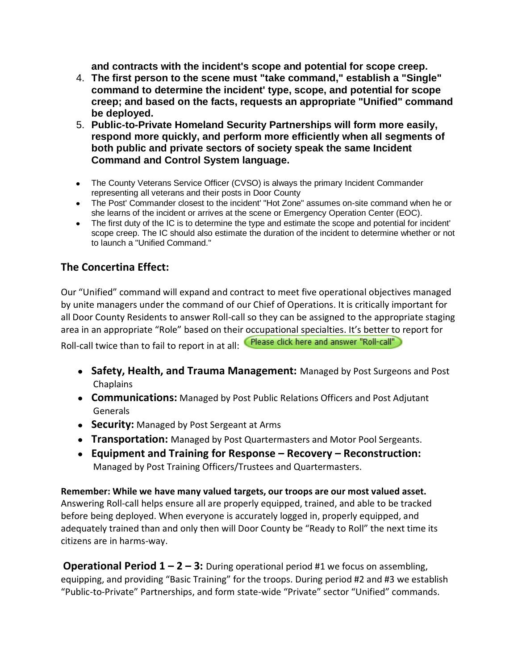**and contracts with the incident's scope and potential for scope creep.** 

- 4. **The first person to the scene must "take command," establish a "Single" command to determine the incident' type, scope, and potential for scope creep; and based on the facts, requests an appropriate "Unified" command be deployed.**
- 5. **Public-to-Private Homeland Security Partnerships will form more easily, respond more quickly, and perform more efficiently when all segments of both public and private sectors of society speak the same Incident Command and Control System language.**
- The County Veterans Service Officer (CVSO) is always the primary Incident Commander representing all veterans and their posts in Door County
- The Post' Commander closest to the incident' "Hot Zone" assumes on-site command when he or she learns of the incident or arrives at the scene or Emergency Operation Center (EOC).
- The first duty of the IC is to determine the type and estimate the scope and potential for incident' scope creep. The IC should also estimate the duration of the incident to determine whether or not to launch a "Unified Command."

#### **The Concertina Effect:**

Our "Unified" command will expand and contract to meet five operational objectives managed by unite managers under the command of our Chief of Operations. It is critically important for all Door County Residents to answer Roll-call so they can be assigned to the appropriate staging area in an appropriate "Role" based on their occupational specialties. It's better to report for Roll-call twice than to fail to report in at all: Please click here and answer "Roll-call"

- **Safety, Health, and Trauma Management:** Managed by Post Surgeons and Post Chaplains
- **Communications:** Managed by Post Public Relations Officers and Post Adjutant Generals
- **Security:** Managed by Post Sergeant at Arms
- **Transportation:** Managed by Post Quartermasters and Motor Pool Sergeants.
- **Equipment and Training for Response – Recovery – Reconstruction:** Managed by Post Training Officers/Trustees and Quartermasters.

**Remember: While we have many valued targets, our troops are our most valued asset.** Answering Roll-call helps ensure all are properly equipped, trained, and able to be tracked before being deployed. When everyone is accurately logged in, properly equipped, and adequately trained than and only then will Door County be "Ready to Roll" the next time its citizens are in harms-way.

**Operational Period 1 – 2 – 3:** During operational period #1 we focus on assembling, equipping, and providing "Basic Training" for the troops. During period #2 and #3 we establish "Public-to-Private" Partnerships, and form state-wide "Private" sector "Unified" commands.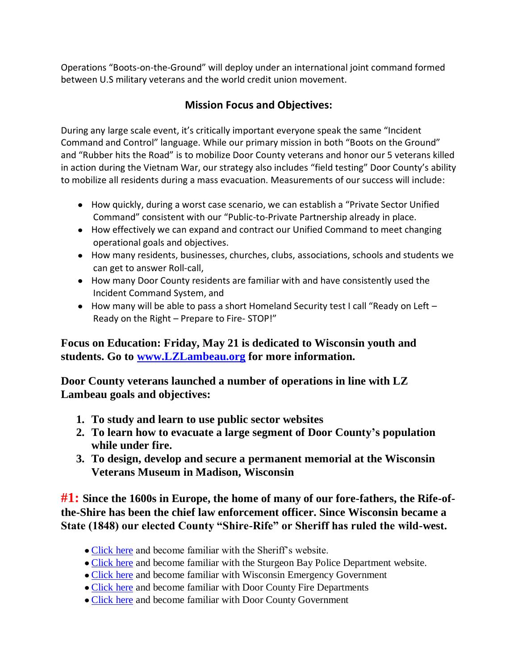Operations "Boots-on-the-Ground" will deploy under an international joint command formed between U.S military veterans and the world credit union movement.

### **Mission Focus and Objectives:**

During any large scale event, it's critically important everyone speak the same "Incident Command and Control" language. While our primary mission in both "Boots on the Ground" and "Rubber hits the Road" is to mobilize Door County veterans and honor our 5 veterans killed in action during the Vietnam War, our strategy also includes "field testing" Door County's ability to mobilize all residents during a mass evacuation. Measurements of our success will include:

- How quickly, during a worst case scenario, we can establish a "Private Sector Unified Command" consistent with our "Public-to-Private Partnership already in place.
- How effectively we can expand and contract our Unified Command to meet changing operational goals and objectives.
- How many residents, businesses, churches, clubs, associations, schools and students we can get to answer Roll-call,
- How many Door County residents are familiar with and have consistently used the Incident Command System, and
- How many will be able to pass a short Homeland Security test I call "Ready on Left -Ready on the Right – Prepare to Fire- STOP!"

**Focus on Education: Friday, May 21 is dedicated to Wisconsin youth and students. Go to [www.LZLambeau.org](http://www.lzlambeau.org/) for more information.**

**Door County veterans launched a number of operations in line with LZ Lambeau goals and objectives:**

- **1. To study and learn to use public sector websites**
- **2. To learn how to evacuate a large segment of Door County's population while under fire.**
- **3. To design, develop and secure a permanent memorial at the Wisconsin Veterans Museum in Madison, Wisconsin**

**#1: Since the 1600s in Europe, the home of many of our fore-fathers, the Rife-ofthe-Shire has been the chief law enforcement officer. Since Wisconsin became a State (1848) our elected County "Shire-Rife" or Sheriff has ruled the wild-west.**

- [Click here](http://www.co.door.wi.gov/localgov_staff.asp?deptid=52&locid=137) and become familiar with the Sheriff's website.
- [Click here](http://www.google.com/search?hl=en&source=hp&q=sturgeon+bay+police+department&aq=0&aqi=g1&aql=&oq=Sturgeon+Bay+Poli&gs_rfai=) and become familiar with the Sturgeon Bay Police Department website.
- [Click here](http://www.google.com/search?hl=en&q=wisconsin+emergency+management&aq=0c&aqi=g-c3&aql=&oq=Wisc+emergency+management&gs_rfai=) and become familiar with Wisconsin Emergency Government
- [Click here](http://www.google.com/search?hl=en&q=door+county+fire+department&aq=0&aqi=g2&aql=&oq=Door+County+Fire+&gs_rfai=) and become familiar with Door County Fire Departments
- [Click here](http://www.co.door.wi.gov/localgov_staff_search.asp?locid=137) and become familiar with Door County Government